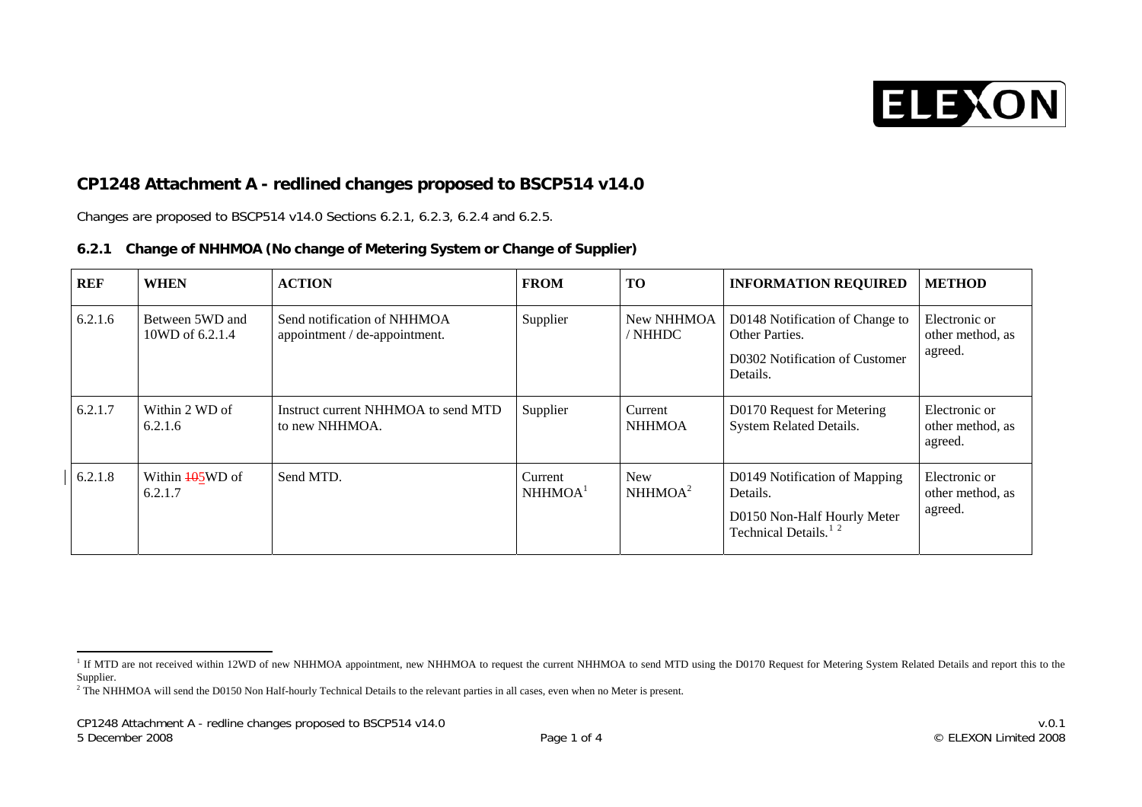

## <span id="page-0-2"></span>**CP1248 Attachment A - redlined changes proposed to BSCP514 v14.0**

Changes are proposed to BSCP514 v14.0 Sections 6.2.1, 6.2.3, 6.2.4 and 6.2.5.

## **6.2.1 Change of NHHMOA (No change of Metering System or Change of Supplier)**

| REF     | <b>WHEN</b>                            | <b>ACTION</b>                                                | <b>FROM</b>                    | <b>TO</b>                         | <b>INFORMATION REQUIRED</b>                                                                                  | <b>METHOD</b>                                |
|---------|----------------------------------------|--------------------------------------------------------------|--------------------------------|-----------------------------------|--------------------------------------------------------------------------------------------------------------|----------------------------------------------|
| 6.2.1.6 | Between 5WD and<br>10WD of 6.2.1.4     | Send notification of NHHMOA<br>appointment / de-appointment. | Supplier                       | New NHHMOA<br>/ NHHDC             | D0148 Notification of Change to<br>Other Parties.<br>D0302 Notification of Customer<br>Details.              | Electronic or<br>other method, as<br>agreed. |
| 6.2.1.7 | Within 2 WD of<br>6.2.1.6              | Instruct current NHHMOA to send MTD<br>to new NHHMOA.        | Supplier                       | Current<br><b>NHHMOA</b>          | D0170 Request for Metering<br>System Related Details.                                                        | Electronic or<br>other method, as<br>agreed. |
| 6.2.1.8 | Within $\frac{105}{100}$ of<br>6.2.1.7 | Send MTD.                                                    | Current<br>NHHMOA <sup>1</sup> | <b>New</b><br>NHHMOA <sup>2</sup> | D0149 Notification of Mapping<br>Details.<br>D0150 Non-Half Hourly Meter<br>Technical Details. <sup>12</sup> | Electronic or<br>other method, as<br>agreed. |

<span id="page-0-0"></span><sup>&</sup>lt;sup>1</sup> If MTD are not received within 12WD of new NHHMOA appointment, new NHHMOA to request the current NHHMOA to send MTD using the D0170 Request for Metering System Related Details and report this to the Supplier.

<span id="page-0-1"></span><sup>&</sup>lt;sup>2</sup> The NHHMOA will send the D0150 Non Half-hourly Technical Details to the relevant parties in all cases, even when no Meter is present.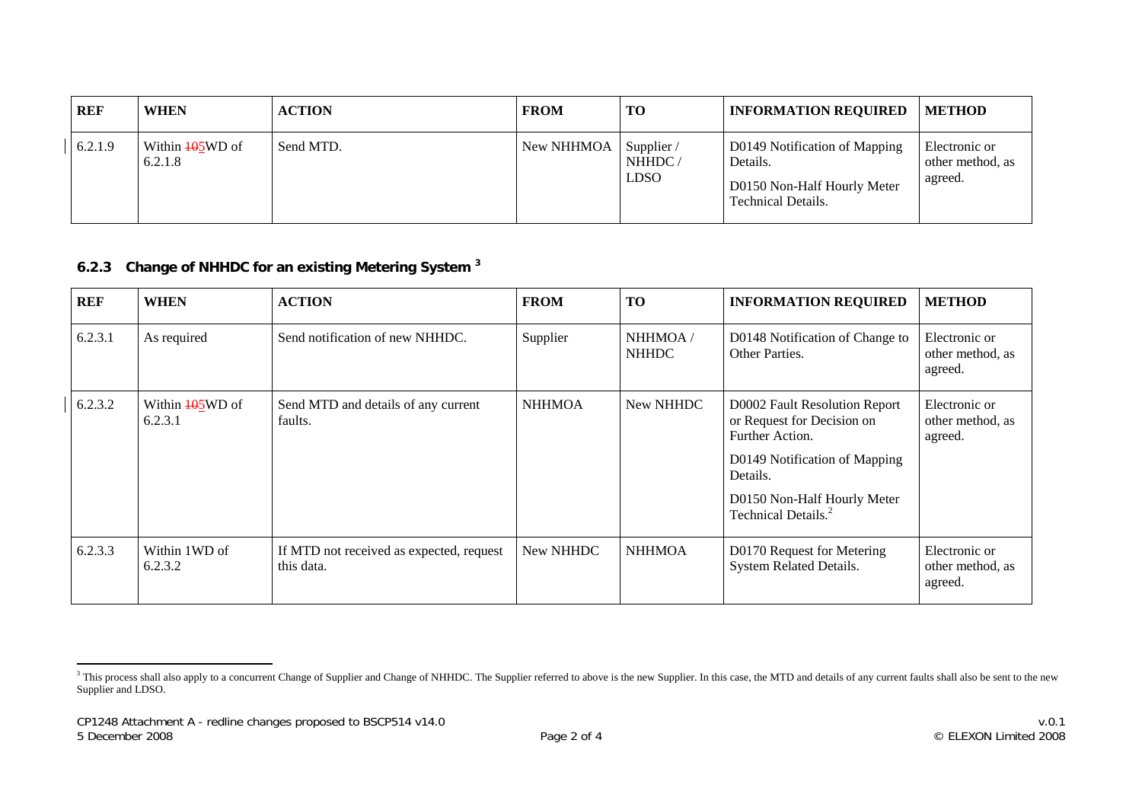| <b>REF</b> | <b>WHEN</b>                | <b>ACTION</b> | <b>FROM</b> | TO                                           | <b>INFORMATION REQUIRED</b>                                                                    | <b>METHOD</b>                                |
|------------|----------------------------|---------------|-------------|----------------------------------------------|------------------------------------------------------------------------------------------------|----------------------------------------------|
| 6.2.1.9    | Within 405WD of<br>6.2.1.8 | Send MTD.     | New NHHMOA  | Supplier $\sqrt{ }$<br>NHHDC/<br><b>LDSO</b> | D0149 Notification of Mapping<br>Details.<br>D0150 Non-Half Hourly Meter<br>Technical Details. | Electronic or<br>other method, as<br>agreed. |

## **6.2.3 Change of NHHDC for an existing Metering System [3](#page-1-0)**

| <b>REF</b> | <b>WHEN</b>                | <b>ACTION</b>                                          | <b>FROM</b>   | <b>TO</b>               | <b>INFORMATION REQUIRED</b>                                                                                                                                                                   | <b>METHOD</b>                                |
|------------|----------------------------|--------------------------------------------------------|---------------|-------------------------|-----------------------------------------------------------------------------------------------------------------------------------------------------------------------------------------------|----------------------------------------------|
| 6.2.3.1    | As required                | Send notification of new NHHDC.                        | Supplier      | NHHMOA/<br><b>NHHDC</b> | D0148 Notification of Change to<br>Other Parties.                                                                                                                                             | Electronic or<br>other method, as<br>agreed. |
| 6.2.3.2    | Within 405WD of<br>6.2.3.1 | Send MTD and details of any current<br>faults.         | <b>NHHMOA</b> | New NHHDC               | D0002 Fault Resolution Report<br>or Request for Decision on<br>Further Action.<br>D0149 Notification of Mapping<br>Details.<br>D0150 Non-Half Hourly Meter<br>Technical Details. <sup>2</sup> | Electronic or<br>other method, as<br>agreed. |
| 6.2.3.3    | Within 1WD of<br>6.2.3.2   | If MTD not received as expected, request<br>this data. | New NHHDC     | <b>NHHMOA</b>           | D0170 Request for Metering<br>System Related Details.                                                                                                                                         | Electronic or<br>other method, as<br>agreed. |

<span id="page-1-0"></span><sup>&</sup>lt;sup>3</sup> This process shall also apply to a concurrent Change of Supplier and Change of NHHDC. The Supplier referred to above is the new Supplier. In this case, the MTD and details of any current faults shall also be sent to th Supplier and LDSO.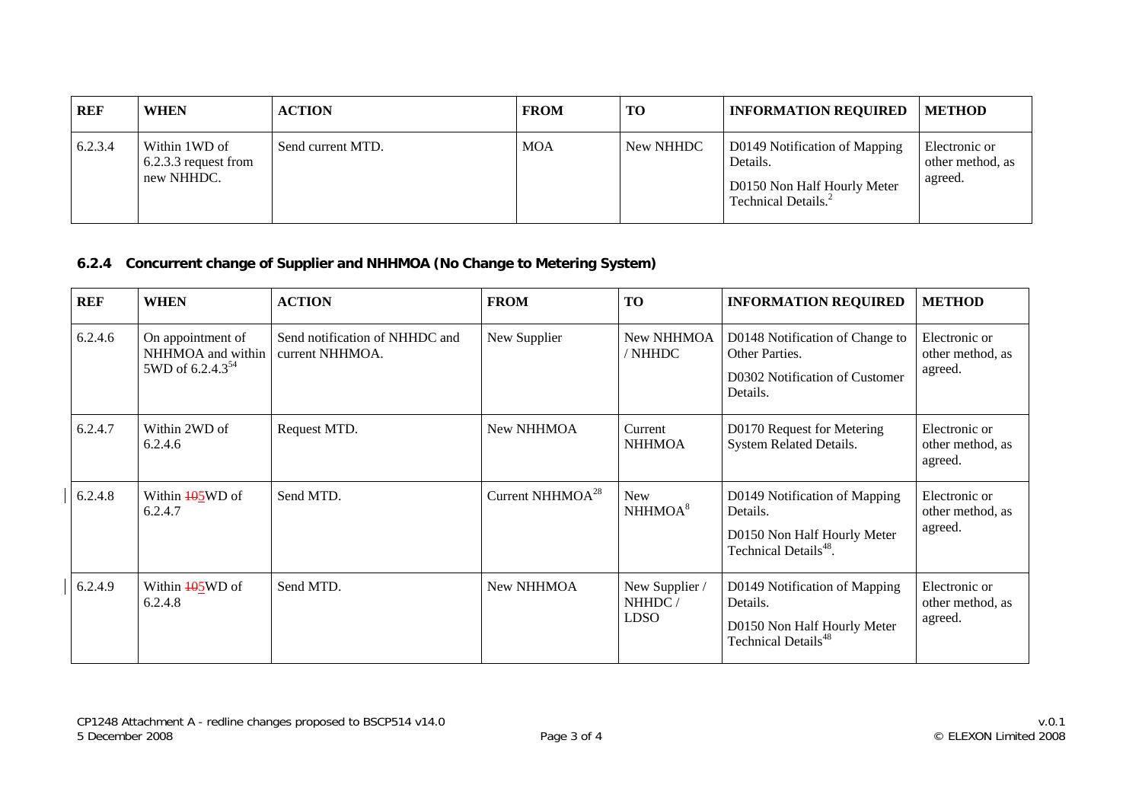| REF     | <b>WHEN</b>                                         | <b>ACTION</b>     | <b>FROM</b> | <b>TO</b> | <b>INFORMATION REQUIRED</b>                                                                                 | <b>METHOD</b>                                |
|---------|-----------------------------------------------------|-------------------|-------------|-----------|-------------------------------------------------------------------------------------------------------------|----------------------------------------------|
| 6.2.3.4 | Within 1WD of<br>6.2.3.3 request from<br>new NHHDC. | Send current MTD. | <b>MOA</b>  | New NHHDC | D0149 Notification of Mapping<br>Details.<br>D0150 Non Half Hourly Meter<br>Technical Details. <sup>2</sup> | Electronic or<br>other method, as<br>agreed. |

## **6.2.4 Concurrent change of Supplier and NHHMOA (No Change to Metering System)**

| <b>REF</b> | <b>WHEN</b>                                                            | <b>ACTION</b>                                     | <b>FROM</b>            | <b>TO</b>                               | <b>INFORMATION REQUIRED</b>                                                                                   | <b>METHOD</b>                                |
|------------|------------------------------------------------------------------------|---------------------------------------------------|------------------------|-----------------------------------------|---------------------------------------------------------------------------------------------------------------|----------------------------------------------|
| 6.2.4.6    | On appointment of<br>NHHMOA and within<br>5WD of 6.2.4.3 <sup>54</sup> | Send notification of NHHDC and<br>current NHHMOA. | New Supplier           | New NHHMOA<br>/ NHHDC                   | D0148 Notification of Change to<br>Other Parties.<br>D0302 Notification of Customer<br>Details.               | Electronic or<br>other method, as<br>agreed. |
| 6.2.4.7    | Within 2WD of<br>6.2.4.6                                               | Request MTD.                                      | New NHHMOA             | Current<br><b>NHHMOA</b>                | D0170 Request for Metering<br>System Related Details.                                                         | Electronic or<br>other method, as<br>agreed. |
| 6.2.4.8    | Within <b>405WD</b> of<br>6.2.4.7                                      | Send MTD.                                         | Current NHHMO $A^{28}$ | <b>New</b><br>NHHMOA <sup>8</sup>       | D0149 Notification of Mapping<br>Details.<br>D0150 Non Half Hourly Meter<br>Technical Details <sup>48</sup> . | Electronic or<br>other method, as<br>agreed. |
| 6.2.4.9    | Within $\frac{105}{100}$ of<br>6.2.4.8                                 | Send MTD.                                         | New NHHMOA             | New Supplier /<br>NHHDC/<br><b>LDSO</b> | D0149 Notification of Mapping<br>Details.<br>D0150 Non Half Hourly Meter<br>Technical Details <sup>48</sup>   | Electronic or<br>other method, as<br>agreed. |